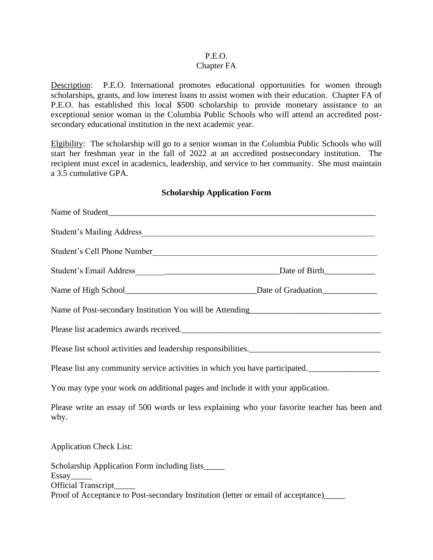### P.E.O.

#### Chapter FA

Description: P.E.O. International promotes educational opportunities for women through scholarships, grants, and low interest loans to assist women with their education. Chapter FA of P.E.O. has established this local \$500 scholarship to provide monetary assistance to an exceptional senior woman in the Columbia Public Schools who will attend an accredited postsecondary educational institution in the next academic year.

Elgibility: The scholarship will go to a senior woman in the Columbia Public Schools who will start her freshman year in the fall of 2022 at an accredited postsecondary institution. The recipient must excel in academics, leadership, and service to her community. She must maintain a 3.5 cumulative GPA.

#### **Scholarship Application Form**

| Name of Student                                                                       |                                                                                              |
|---------------------------------------------------------------------------------------|----------------------------------------------------------------------------------------------|
|                                                                                       |                                                                                              |
| Student's Cell Phone Number                                                           |                                                                                              |
|                                                                                       |                                                                                              |
|                                                                                       |                                                                                              |
|                                                                                       |                                                                                              |
|                                                                                       |                                                                                              |
| Please list school activities and leadership responsibilities.                        |                                                                                              |
| Please list any community service activities in which you have participated.          |                                                                                              |
| You may type your work on additional pages and include it with your application.      |                                                                                              |
| why.                                                                                  | Please write an essay of 500 words or less explaining who your favorite teacher has been and |
| <b>Application Check List:</b>                                                        |                                                                                              |
| Scholarship Application Form including lists_____                                     |                                                                                              |
| Essay<br>Official Transcript                                                          |                                                                                              |
| Proof of Acceptance to Post-secondary Institution (letter or email of acceptance)____ |                                                                                              |